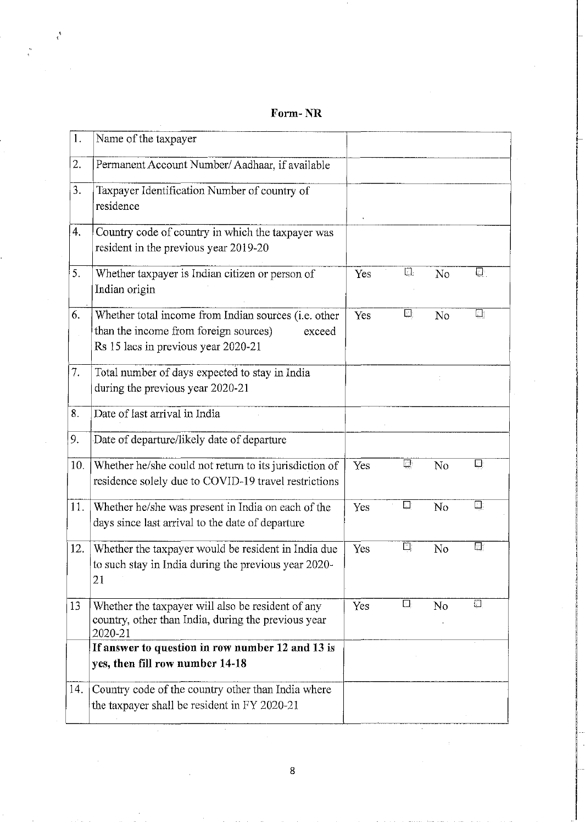## **.Form-NR**

, ,

| 1.             | Name of the taxpayer                                                                                                                           |     |        |    |        |
|----------------|------------------------------------------------------------------------------------------------------------------------------------------------|-----|--------|----|--------|
| 2.             | Permanent Account Number/Aadhaar, if available                                                                                                 |     |        |    |        |
| 3 <sub>1</sub> | Taxpayer Identification Number of country of<br>residence                                                                                      |     |        |    |        |
| 4.             | Country code of country in which the taxpayer was<br>resident in the previous year 2019-20                                                     |     |        |    |        |
| 5.             | Whether taxpayer is Indian citizen or person of<br>Indian origin                                                                               | Yes | $\Box$ | No | $\Box$ |
| 6.             | Whether total income from Indian sources (i.e. other<br>than the income from foreign sources)<br>exceed<br>Rs 15 lacs in previous year 2020-21 | Yes | Ø,     | No | 鳳      |
| 7.             | Total number of days expected to stay in India<br>during the previous year 2020-21                                                             |     |        |    |        |
| 8.             | Date of last arrival in India                                                                                                                  |     |        |    |        |
| 9.             | Date of departure/likely date of departure                                                                                                     |     |        |    |        |
| 10.            | Whether he/she could not return to its jurisdiction of<br>residence solely due to COVID-19 travel restrictions                                 | Yes | ⊡      | No | O,     |
| 11.            | Whether he/she was present in India on each of the<br>days since last arrival to the date of departure                                         | Yes | 다      | No | $\Box$ |
| 12.            | Whether the taxpayer would be resident in India due<br>to such stay in India during the previous year 2020-<br>21                              | Yes | 凹      | No | 團      |
| 13             | Whether the taxpayer will also be resident of any<br>country, other than India, during the previous year<br>2020-21                            | Yes | 다      | No | $\Box$ |
|                | If answer to question in row number 12 and 13 is                                                                                               |     |        |    |        |
|                | yes, then fill row number 14-18                                                                                                                |     |        |    |        |
| 14.            | Country code of the country other than India where<br>the taxpayer shall be resident in FY 2020-21                                             |     |        |    |        |